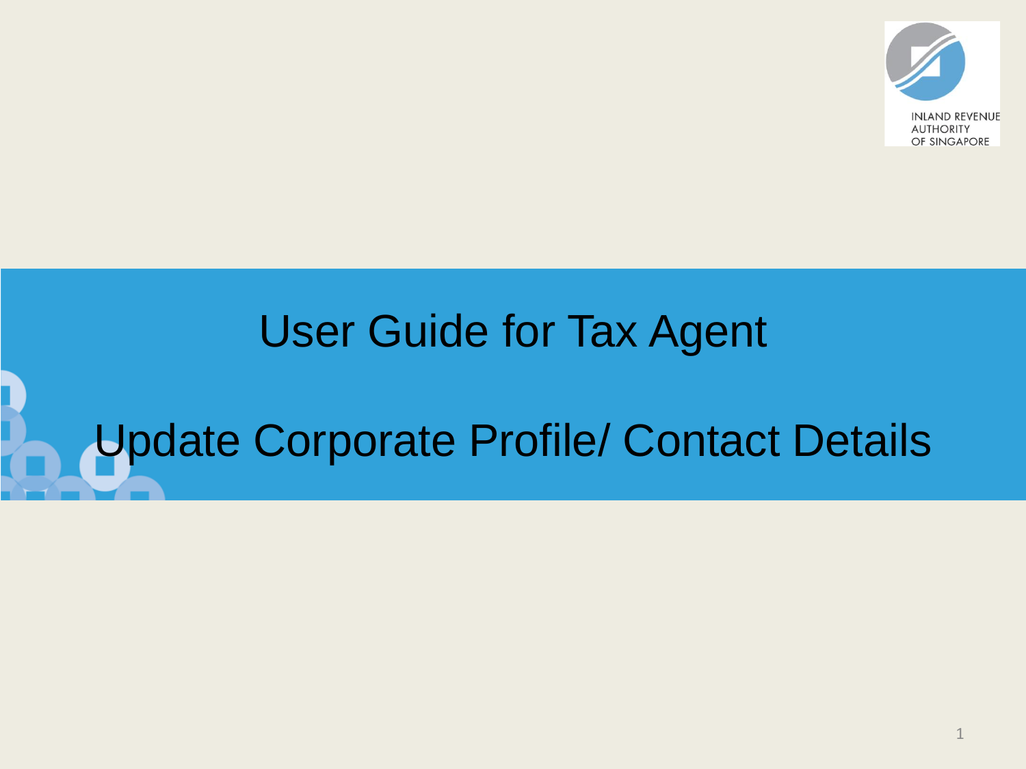

# User Guide for Tax Agent

# Update Corporate Profile/ Contact Details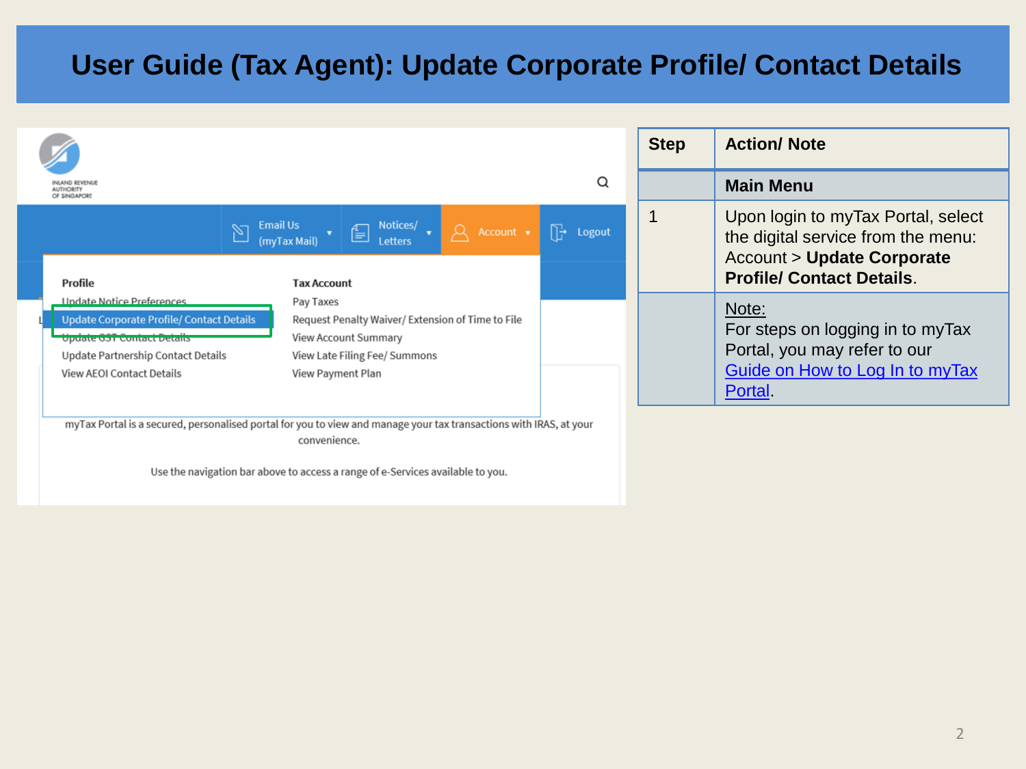|                                                                                                                                                                                                                                                                                                                                       |                                                                                                                                                                      | <b>Step</b> | <b>Action/Note</b>                                                                                                                                   |
|---------------------------------------------------------------------------------------------------------------------------------------------------------------------------------------------------------------------------------------------------------------------------------------------------------------------------------------|----------------------------------------------------------------------------------------------------------------------------------------------------------------------|-------------|------------------------------------------------------------------------------------------------------------------------------------------------------|
|                                                                                                                                                                                                                                                                                                                                       | Q<br><b>ALITHORITY</b><br>OF SINGAPORE                                                                                                                               |             | <b>Main Menu</b>                                                                                                                                     |
|                                                                                                                                                                                                                                                                                                                                       | $\boxed{\sum \frac{\text{Email Us}}{(\text{myTax Mail}) \cdot \cdot \cdot}}$<br>$\beta$ Account $\bullet$<br>$\mathbb{R}$<br>Logout<br>Profile<br><b>Tax Account</b> | 1           | Upon login to myTax Portal, select<br>the digital service from the menu:<br><b>Account &gt; Update Corporate</b><br><b>Profile/ Contact Details.</b> |
| Undate Notice Preferences<br>Pay Taxes<br><b>Update Corporate Profile/ Contact Details</b><br>Request Penalty Waiver/ Extension of Time to File<br>View Account Summary<br>Update GST Contact Details<br>View Late Filing Fee/ Summons<br>Update Partnership Contact Details<br><b>View AEOI Contact Details</b><br>View Payment Plan |                                                                                                                                                                      |             | Note:<br>For steps on logging in to myTax<br>Portal, you may refer to our<br>Guide on How to Log In to myTax<br>Portal                               |
|                                                                                                                                                                                                                                                                                                                                       | myTax Portal is a secured, personalised portal for you to view and manage your tax transactions with IRAS, at your<br>convenience.                                   |             |                                                                                                                                                      |

Use the navigation bar above to access a range of e-Services available to you.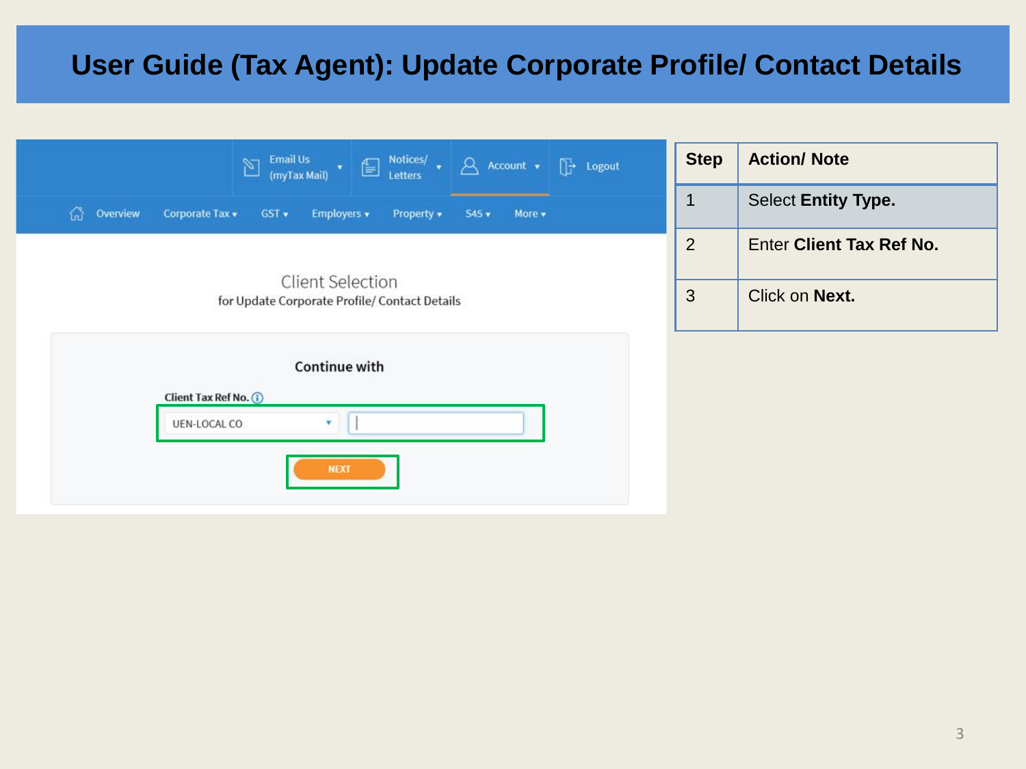|                                                                                         | $\begin{bmatrix} \rightarrow \\ \end{bmatrix}$ Logout | <b>Step</b>    | <b>Action/ Note</b>        |
|-----------------------------------------------------------------------------------------|-------------------------------------------------------|----------------|----------------------------|
| 끊<br>Overview<br>Corporate Tax v<br>Employers v<br>$GST$ $\star$<br>Property v<br>S45 v | More v                                                | 1              | <b>Select Entity Type.</b> |
|                                                                                         |                                                       | $\overline{2}$ | Enter Client Tax Ref No.   |
| <b>Client Selection</b><br>for Update Corporate Profile/ Contact Details                |                                                       | 3              | Click on Next.             |
| <b>Continue with</b>                                                                    |                                                       |                |                            |
| Client Tax Ref No. (i)                                                                  |                                                       |                |                            |
| UEN-LOCAL CO<br>$\mathbf{v}$                                                            |                                                       |                |                            |
| <b>NEXT</b>                                                                             |                                                       |                |                            |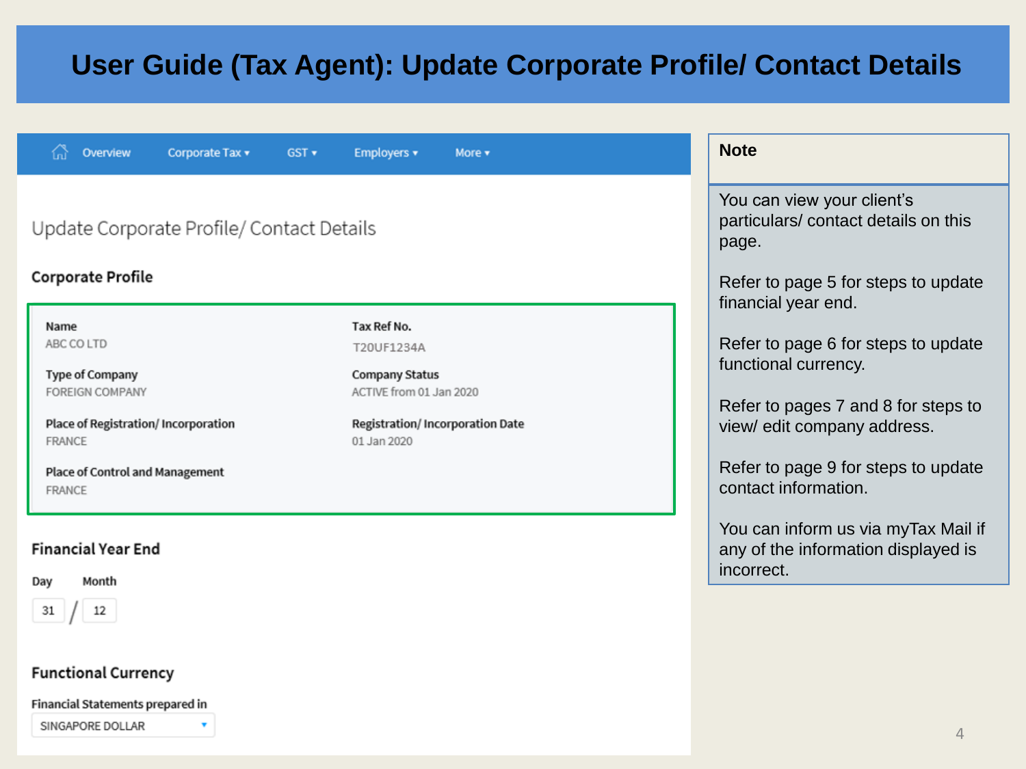| Overview<br>Corporate Tax v<br>GST v                                                                                                                          | Employers v<br>More v                                                                                                                    | <b>Note</b>                                                                                                                                                                                      |  |
|---------------------------------------------------------------------------------------------------------------------------------------------------------------|------------------------------------------------------------------------------------------------------------------------------------------|--------------------------------------------------------------------------------------------------------------------------------------------------------------------------------------------------|--|
| Update Corporate Profile/ Contact Details<br><b>Corporate Profile</b><br>Name                                                                                 | You can view your client's<br>particulars/contact details on this<br>page.<br>Refer to page 5 for steps to update<br>financial year end. |                                                                                                                                                                                                  |  |
| ABC CO LTD<br><b>Type of Company</b><br><b>FOREIGN COMPANY</b><br>Place of Registration/ Incorporation<br>FRANCE<br>Place of Control and Management<br>FRANCE | Tax Ref No.<br>T20UF1234A<br><b>Company Status</b><br>ACTIVE from 01 Jan 2020<br><b>Registration/Incorporation Date</b><br>01 Jan 2020   | Refer to page 6 for steps to update<br>functional currency.<br>Refer to pages 7 and 8 for steps to<br>view/ edit company address.<br>Refer to page 9 for steps to update<br>contact information. |  |
| <b>Financial Year End</b><br>Month<br>Day<br>12<br>31                                                                                                         |                                                                                                                                          | You can inform us via myTax Mail if<br>any of the information displayed is<br>incorrect.                                                                                                         |  |
| <b>Functional Currency</b>                                                                                                                                    |                                                                                                                                          |                                                                                                                                                                                                  |  |

Financial Statements prepared in

SINGAPORE DOLLAR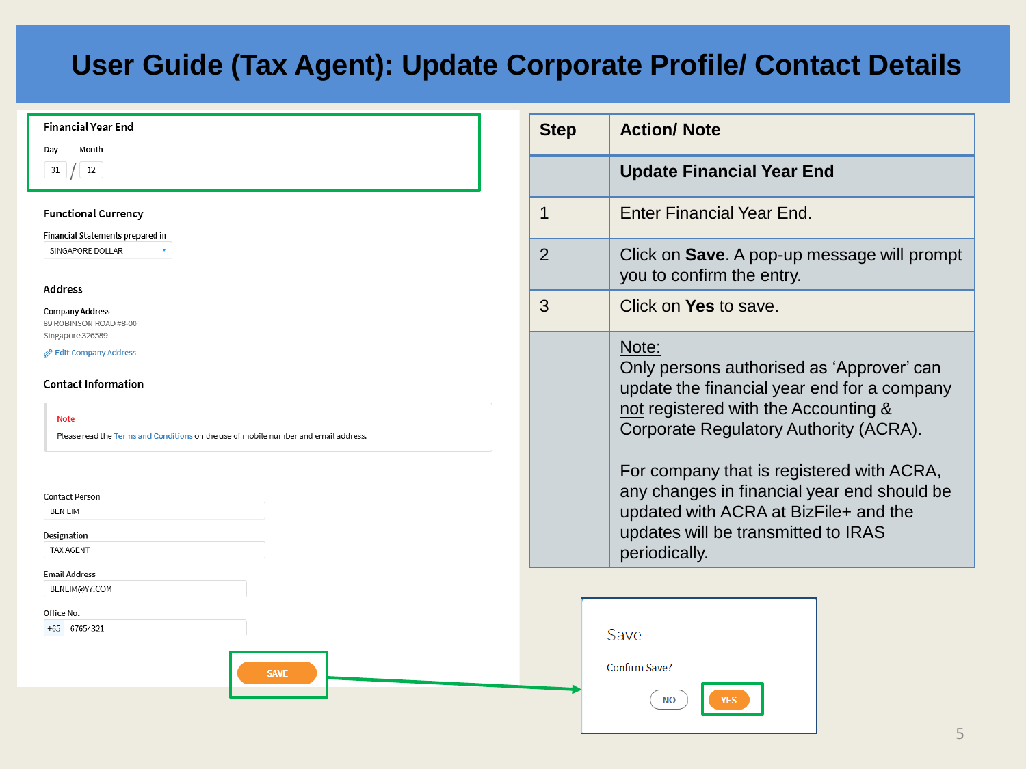| <b>Financial Year End</b><br>Month<br>Day                                                                                                                                                                                                                  |                | <b>Step</b> | <b>Action/ Note</b>                                                                                                                                                                                                                                                                              |
|------------------------------------------------------------------------------------------------------------------------------------------------------------------------------------------------------------------------------------------------------------|----------------|-------------|--------------------------------------------------------------------------------------------------------------------------------------------------------------------------------------------------------------------------------------------------------------------------------------------------|
| 12<br>31                                                                                                                                                                                                                                                   |                |             | <b>Update Financial Year End</b>                                                                                                                                                                                                                                                                 |
| <b>Functional Currency</b><br>Financial Statements prepared in                                                                                                                                                                                             | 1              |             | Enter Financial Year End.                                                                                                                                                                                                                                                                        |
| SINGAPORE DOLLAR<br><b>Address</b>                                                                                                                                                                                                                         | $\overline{2}$ |             | Click on Save. A pop-up mes<br>you to confirm the entry.                                                                                                                                                                                                                                         |
| <b>Company Address</b><br>89 ROBINSON ROAD #8-00                                                                                                                                                                                                           | 3              |             | Click on Yes to save.                                                                                                                                                                                                                                                                            |
| Singapore 326589<br>Edit Company Address<br><b>Contact Information</b><br><b>Note</b><br>Please read the Terms and Conditions on the use of mobile number and email address.<br><b>Contact Person</b><br><b>BEN LIM</b><br>Designation<br><b>TAX AGENT</b> |                |             | Note:<br>Only persons authorised as '<br>update the financial year end<br>not registered with the Accou<br><b>Corporate Regulatory Author</b><br>For company that is register<br>any changes in financial yea<br>updated with ACRA at BizFile<br>updates will be transmitted to<br>periodically. |
| <b>Email Address</b><br>BENLIM@YY.COM<br>Office No.<br>+65 67654321<br><b>SAVE</b>                                                                                                                                                                         |                |             | Save<br>Confirm Save?<br><b>NO</b><br><b>YES</b>                                                                                                                                                                                                                                                 |

| 2 | Click on Save. A pop-up message will prompt<br>you to confirm the entry.                                                                                                            |
|---|-------------------------------------------------------------------------------------------------------------------------------------------------------------------------------------|
| 3 | Click on Yes to save.                                                                                                                                                               |
|   | Note:<br>Only persons authorised as 'Approver' can<br>update the financial year end for a company<br>not registered with the Accounting &<br>Corporate Regulatory Authority (ACRA). |

ly that is registered with ACRA, s in financial year end should be h ACRA at BizFile+ and the be transmitted to IRAS

5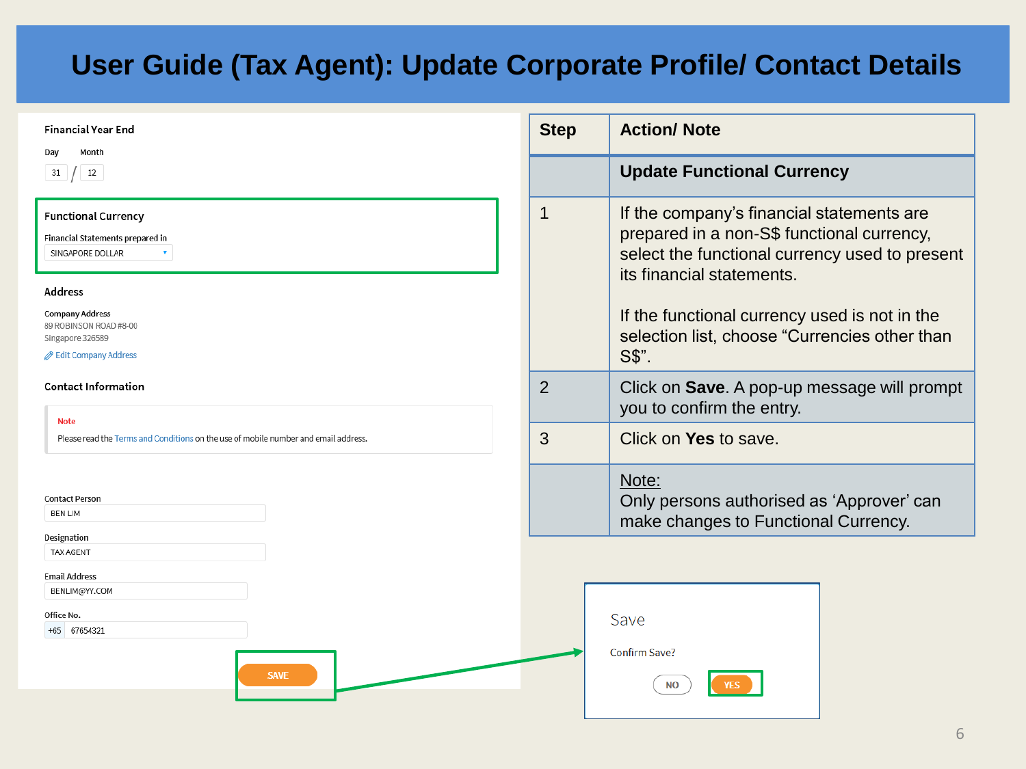| <b>Financial Year End</b><br>Month<br>Day                                                                      | <b>Step</b>    | <b>Action/ Note</b>                                                                                                                                                    |  |  |
|----------------------------------------------------------------------------------------------------------------|----------------|------------------------------------------------------------------------------------------------------------------------------------------------------------------------|--|--|
| 12<br>31                                                                                                       |                | <b>Update Functional Currency</b>                                                                                                                                      |  |  |
| <b>Functional Currency</b><br>Financial Statements prepared in<br>SINGAPORE DOLLAR                             |                | If the company's financial statements are<br>prepared in a non-S\$ functional currency,<br>select the functional currency used to present<br>its financial statements. |  |  |
| <b>Address</b><br><b>Company Address</b><br>89 ROBINSON ROAD #8-00<br>Singapore 326589<br>Edit Company Address |                | If the functional currency used is not in the<br>selection list, choose "Currencies other than<br>S\$".                                                                |  |  |
| <b>Contact Information</b><br><b>Note</b>                                                                      | $\overline{2}$ | Click on Save. A pop-up message will prompt<br>you to confirm the entry.                                                                                               |  |  |
| Please read the Terms and Conditions on the use of mobile number and email address.                            | 3              | Click on Yes to save.                                                                                                                                                  |  |  |
| <b>Contact Person</b><br><b>BEN LIM</b>                                                                        |                | Note:<br>Only persons authorised as 'Approver' can<br>make changes to Functional Currency.                                                                             |  |  |
| Designation<br>TAX AGENT                                                                                       |                |                                                                                                                                                                        |  |  |
| <b>Email Address</b><br>BENLIM@YY.COM                                                                          |                |                                                                                                                                                                        |  |  |
| Office No.<br>+65 67654321                                                                                     |                | Save                                                                                                                                                                   |  |  |
| <b>SAVE</b>                                                                                                    |                | Confirm Save?<br><b>NO</b>                                                                                                                                             |  |  |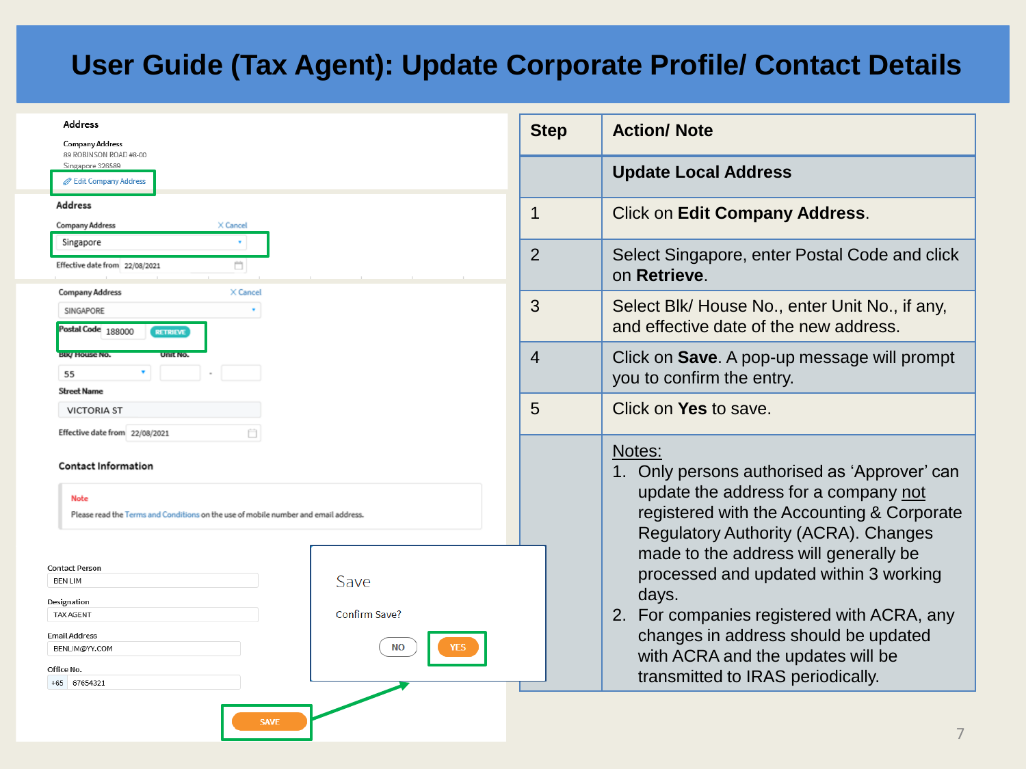| Address<br><b>Company Address</b><br>89 ROBINSON ROAD #8-00<br>Singapore 326589     |               | <b>Step</b>    | <b>Action/ Note</b>                                                                       |  |  |
|-------------------------------------------------------------------------------------|---------------|----------------|-------------------------------------------------------------------------------------------|--|--|
|                                                                                     |               |                |                                                                                           |  |  |
| <b>But Company Address</b>                                                          |               |                | <b>Update Local Address</b>                                                               |  |  |
| <b>Address</b>                                                                      |               | 1              |                                                                                           |  |  |
| <b>Company Address</b><br>X Cancel                                                  |               |                | <b>Click on Edit Company Address.</b>                                                     |  |  |
| Singapore                                                                           |               |                |                                                                                           |  |  |
| Ö<br>Effective date from 22/08/2021                                                 |               | $\overline{2}$ | Select Singapore, enter Postal Code and click<br>on Retrieve.                             |  |  |
| <b>Company Address</b><br>X Cancel                                                  |               | 3              | Select Blk/ House No., enter Unit No., if any,                                            |  |  |
| SINGAPORE<br>Postal Code 188000<br><b>RETRIEVE</b>                                  |               |                | and effective date of the new address.                                                    |  |  |
| <b>BIK/ House No.</b><br>Unit No.                                                   |               | $\overline{4}$ | Click on <b>Save</b> . A pop-up message will prompt                                       |  |  |
| 55                                                                                  |               |                | you to confirm the entry.                                                                 |  |  |
| <b>Street Name</b><br><b>VICTORIA ST</b>                                            |               |                | Click on Yes to save.                                                                     |  |  |
|                                                                                     |               | 5              |                                                                                           |  |  |
| ñ<br>Effective date from 22/08/2021                                                 |               |                |                                                                                           |  |  |
| <b>Contact Information</b>                                                          |               |                | Notes:<br>1. Only persons authorised as 'Approver' can                                    |  |  |
| <b>Note</b>                                                                         |               |                | update the address for a company not                                                      |  |  |
| Please read the Terms and Conditions on the use of mobile number and email address. |               |                | registered with the Accounting & Corporate<br><b>Regulatory Authority (ACRA). Changes</b> |  |  |
|                                                                                     |               |                |                                                                                           |  |  |
| Contact Person                                                                      |               |                | made to the address will generally be                                                     |  |  |
| <b>BEN LIM</b>                                                                      | Save          |                | processed and updated within 3 working                                                    |  |  |
| Designation                                                                         |               |                | days.                                                                                     |  |  |
| <b>TAX AGENT</b>                                                                    | Confirm Save? |                | 2. For companies registered with ACRA, any                                                |  |  |
| <b>Email Address</b><br>BENLIM@YY.COM                                               | <b>NO</b>     |                | changes in address should be updated                                                      |  |  |
| Office No.                                                                          |               |                | with ACRA and the updates will be                                                         |  |  |
| +65 67654321                                                                        |               |                | transmitted to IRAS periodically.                                                         |  |  |
|                                                                                     |               |                |                                                                                           |  |  |
| <b>SAVE</b>                                                                         |               |                | 7                                                                                         |  |  |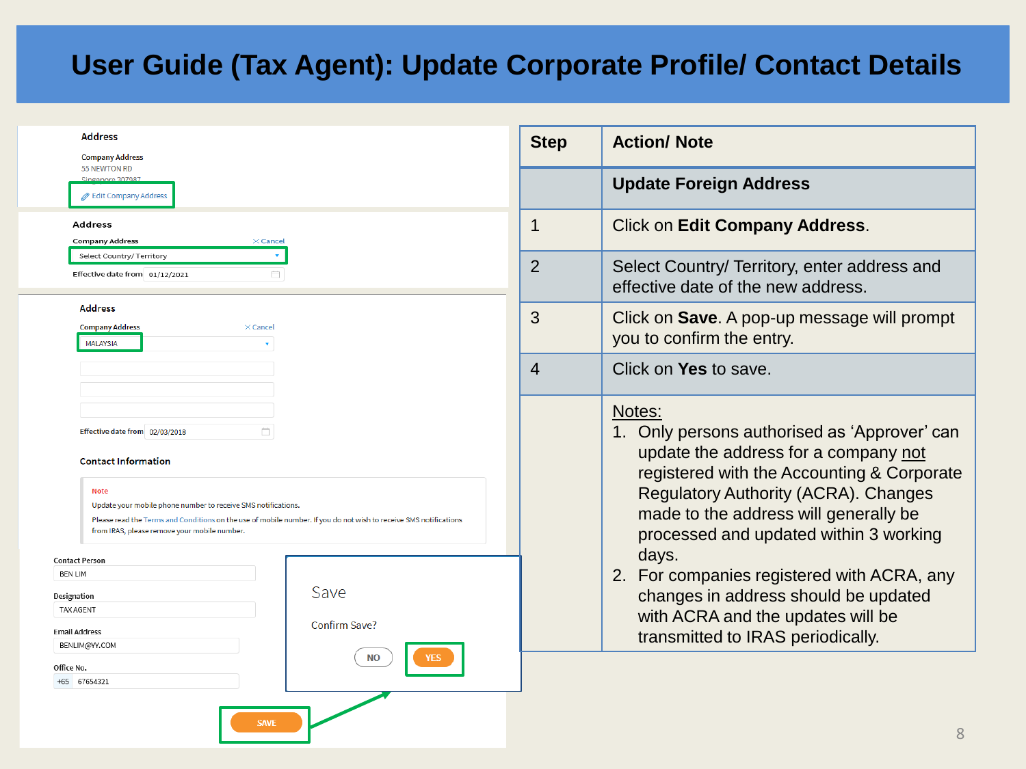| <b>Address</b>                                                                                                                                                                                                                                                                                                                                 | <b>Step</b> | <b>Action/ Note</b>                                                                                                                                                                                                                                                                                                                   |
|------------------------------------------------------------------------------------------------------------------------------------------------------------------------------------------------------------------------------------------------------------------------------------------------------------------------------------------------|-------------|---------------------------------------------------------------------------------------------------------------------------------------------------------------------------------------------------------------------------------------------------------------------------------------------------------------------------------------|
| <b>Company Address</b><br>55 NEWTON RD<br>Singapore 307987<br>Edit Company Address                                                                                                                                                                                                                                                             |             | <b>Update Foreign Address</b>                                                                                                                                                                                                                                                                                                         |
| Address<br><b>Company Address</b><br>$\times$ Cancel                                                                                                                                                                                                                                                                                           |             | <b>Click on Edit Company Address.</b>                                                                                                                                                                                                                                                                                                 |
| Select Country/ Territory<br>Effective date from 01/12/2021<br>m.                                                                                                                                                                                                                                                                              | 2           | Select Country/ Territory, enter address and<br>effective date of the new address.                                                                                                                                                                                                                                                    |
| <b>Address</b><br><b>Company Address</b><br>$\times$ Cancel<br><b>MALAYSIA</b>                                                                                                                                                                                                                                                                 | 3           | Click on <b>Save</b> . A pop-up message will prompt<br>you to confirm the entry.                                                                                                                                                                                                                                                      |
|                                                                                                                                                                                                                                                                                                                                                | 4           | Click on Yes to save.                                                                                                                                                                                                                                                                                                                 |
| Effective date from 02/03/2018<br><b>Contact Information</b><br><b>Note</b><br>Update your mobile phone number to receive SMS notifications.<br>Please read the Terms and Conditions on the use of mobile number. If you do not wish to receive SMS notifications<br>from IRAS, please remove your mobile number.<br>ontact Person:<br>BEN LIM |             | Notes:<br>1. Only persons authorised as 'Approver' can<br>update the address for a company not<br>registered with the Accounting & Corporate<br><b>Regulatory Authority (ACRA). Changes</b><br>made to the address will generally be<br>processed and updated within 3 working<br>days.<br>2. For companies registered with ACRA, any |
| Save<br>esignation<br><b>TAX AGENT</b><br>Confirm Save?<br>mail Address<br>BENLIM@YY.COM                                                                                                                                                                                                                                                       |             | changes in address should be updated<br>with ACRA and the updates will be<br>transmitted to IRAS periodically.                                                                                                                                                                                                                        |
| <b>NO</b><br><b>YES</b><br>)ffice No.<br>+65 67654321<br><b>SAVE</b>                                                                                                                                                                                                                                                                           |             | $\cap$                                                                                                                                                                                                                                                                                                                                |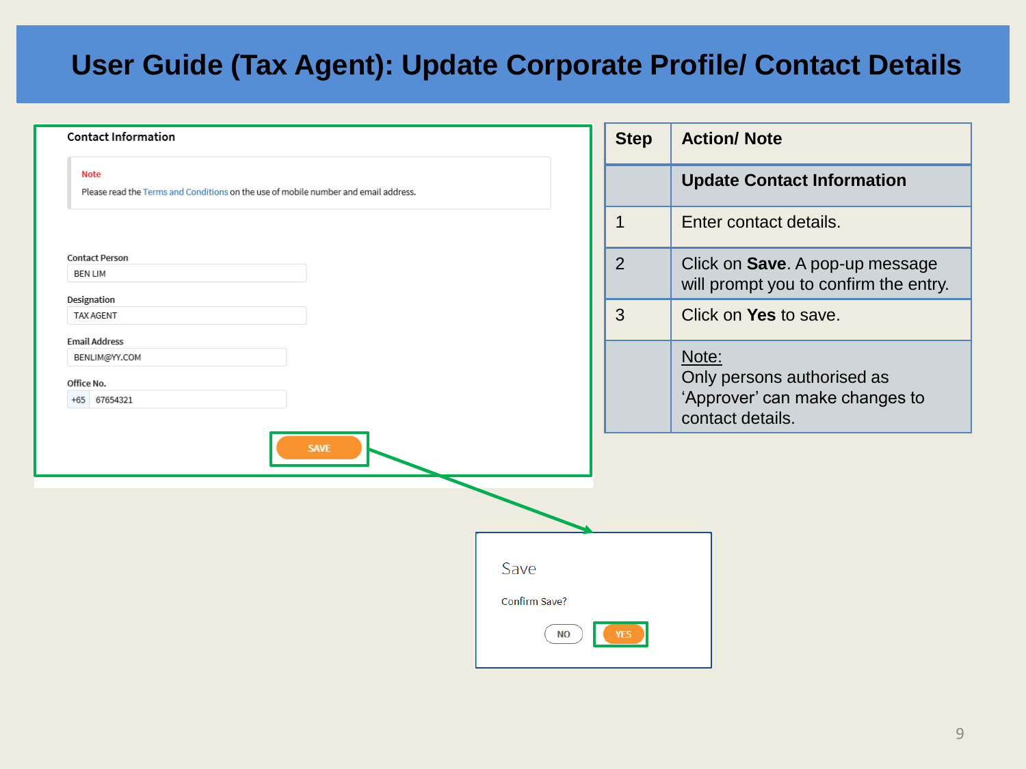| <b>Contact Information</b>                                                                         |                            | <b>Step</b>    | <b>Action/ Note</b>                                                      |
|----------------------------------------------------------------------------------------------------|----------------------------|----------------|--------------------------------------------------------------------------|
| <b>Note</b><br>Please read the Terms and Conditions on the use of mobile number and email address. |                            |                | <b>Update Contact Information</b>                                        |
|                                                                                                    |                            | $\mathbf 1$    | Enter contact details.                                                   |
| <b>Contact Person</b><br><b>BEN LIM</b>                                                            |                            | $\overline{2}$ | Click on Save. A pop-up message<br>will prompt you to confirm the entry. |
| Designation<br>TAX AGENT                                                                           |                            | 3              | Click on Yes to save.                                                    |
| <b>Email Address</b><br>BENLIM@YY.COM<br>Office No.<br>+65 67654321                                |                            |                | Note:<br>Only persons authorised as<br>'Approver' can make changes to    |
| <b>SAVE</b>                                                                                        |                            |                | contact details.                                                         |
|                                                                                                    |                            |                |                                                                          |
|                                                                                                    | Save                       |                |                                                                          |
|                                                                                                    | Confirm Save?<br><b>NO</b> |                |                                                                          |
|                                                                                                    |                            |                |                                                                          |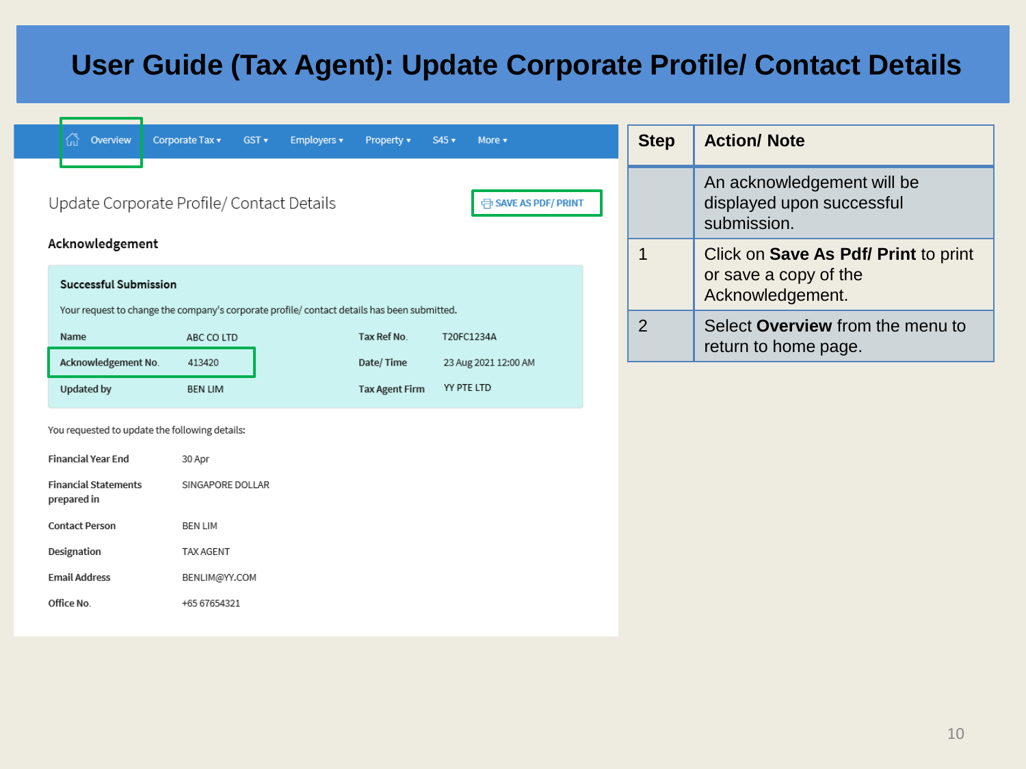| Overview                                                                                                                    | Corporate Tax v<br>GST v<br>Employers v   | Property v            | $S45$ $\star$<br>More v                   |  | <b>Step</b>    | <b>Action/ Note</b>                                                    |
|-----------------------------------------------------------------------------------------------------------------------------|-------------------------------------------|-----------------------|-------------------------------------------|--|----------------|------------------------------------------------------------------------|
|                                                                                                                             | Update Corporate Profile/ Contact Details |                       | <b>FB</b> SAVE AS PDF/ PRINT              |  |                | An acknowledgement will be<br>displayed upon successful<br>submission. |
| Acknowledgement                                                                                                             |                                           |                       |                                           |  | $\mathbf 1$    | Click on Save As Pdf/ Print to print                                   |
| <b>Successful Submission</b><br>Your request to change the company's corporate profile/ contact details has been submitted. |                                           |                       | or save a copy of the<br>Acknowledgement. |  |                |                                                                        |
| Name                                                                                                                        | ABC CO LTD                                | Tax Ref No.           | T20FC1234A                                |  | $\overline{2}$ | Select Overview from the menu to<br>return to home page.               |
| Acknowledgement No.                                                                                                         | 413420                                    | Date/Time             | 23 Aug 2021 12:00 AM                      |  |                |                                                                        |
| <b>Updated by</b>                                                                                                           | <b>BEN LIM</b>                            | <b>Tax Agent Firm</b> | YY PTE LTD                                |  |                |                                                                        |
| You requested to update the following details:                                                                              |                                           |                       |                                           |  |                |                                                                        |
| <b>Financial Year End</b>                                                                                                   | 30 Apr                                    |                       |                                           |  |                |                                                                        |
| <b>Financial Statements</b><br>prepared in                                                                                  | SINGAPORE DOLLAR                          |                       |                                           |  |                |                                                                        |
| <b>Contact Person</b>                                                                                                       | <b>BEN LIM</b>                            |                       |                                           |  |                |                                                                        |
| Designation                                                                                                                 | <b>TAX AGENT</b>                          |                       |                                           |  |                |                                                                        |
| <b>Email Address</b>                                                                                                        | BENLIM@YY.COM                             |                       |                                           |  |                |                                                                        |
| Office No.                                                                                                                  | +65 67654321                              |                       |                                           |  |                |                                                                        |